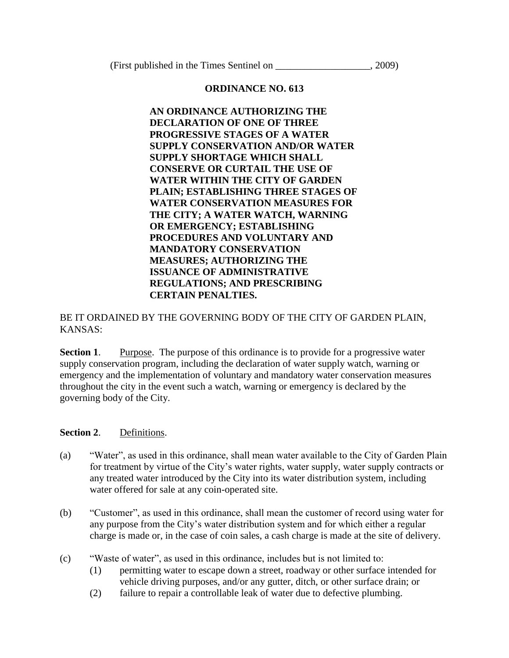(First published in the Times Sentinel on  $.2009$ )

## **ORDINANCE NO. 613**

**AN ORDINANCE AUTHORIZING THE DECLARATION OF ONE OF THREE PROGRESSIVE STAGES OF A WATER SUPPLY CONSERVATION AND/OR WATER SUPPLY SHORTAGE WHICH SHALL CONSERVE OR CURTAIL THE USE OF WATER WITHIN THE CITY OF GARDEN PLAIN; ESTABLISHING THREE STAGES OF WATER CONSERVATION MEASURES FOR THE CITY; A WATER WATCH, WARNING OR EMERGENCY; ESTABLISHING PROCEDURES AND VOLUNTARY AND MANDATORY CONSERVATION MEASURES; AUTHORIZING THE ISSUANCE OF ADMINISTRATIVE REGULATIONS; AND PRESCRIBING CERTAIN PENALTIES.** 

# BE IT ORDAINED BY THE GOVERNING BODY OF THE CITY OF GARDEN PLAIN, KANSAS:

**Section 1.** Purpose. The purpose of this ordinance is to provide for a progressive water supply conservation program, including the declaration of water supply watch, warning or emergency and the implementation of voluntary and mandatory water conservation measures throughout the city in the event such a watch, warning or emergency is declared by the governing body of the City.

# **Section 2**. Definitions.

- (a) "Water", as used in this ordinance, shall mean water available to the City of Garden Plain for treatment by virtue of the City's water rights, water supply, water supply contracts or any treated water introduced by the City into its water distribution system, including water offered for sale at any coin-operated site.
- (b) "Customer", as used in this ordinance, shall mean the customer of record using water for any purpose from the City's water distribution system and for which either a regular charge is made or, in the case of coin sales, a cash charge is made at the site of delivery.
- (c) "Waste of water", as used in this ordinance, includes but is not limited to:
	- (1) permitting water to escape down a street, roadway or other surface intended for vehicle driving purposes, and/or any gutter, ditch, or other surface drain; or
	- (2) failure to repair a controllable leak of water due to defective plumbing.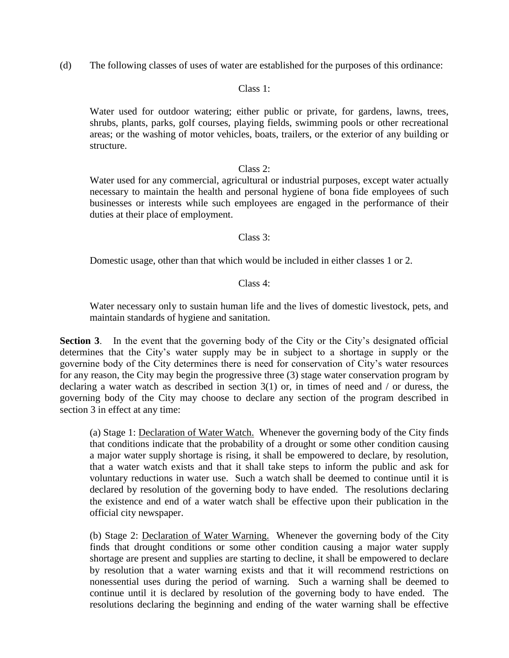(d) The following classes of uses of water are established for the purposes of this ordinance:

### Class 1:

Water used for outdoor watering; either public or private, for gardens, lawns, trees, shrubs, plants, parks, golf courses, playing fields, swimming pools or other recreational areas; or the washing of motor vehicles, boats, trailers, or the exterior of any building or structure.

### Class 2:

Water used for any commercial, agricultural or industrial purposes, except water actually necessary to maintain the health and personal hygiene of bona fide employees of such businesses or interests while such employees are engaged in the performance of their duties at their place of employment.

### Class 3:

Domestic usage, other than that which would be included in either classes 1 or 2.

### Class 4:

Water necessary only to sustain human life and the lives of domestic livestock, pets, and maintain standards of hygiene and sanitation.

**Section 3.** In the event that the governing body of the City or the City's designated official determines that the City's water supply may be in subject to a shortage in supply or the governine body of the City determines there is need for conservation of City's water resources for any reason, the City may begin the progressive three (3) stage water conservation program by declaring a water watch as described in section  $3(1)$  or, in times of need and / or duress, the governing body of the City may choose to declare any section of the program described in section 3 in effect at any time:

(a) Stage 1: Declaration of Water Watch. Whenever the governing body of the City finds that conditions indicate that the probability of a drought or some other condition causing a major water supply shortage is rising, it shall be empowered to declare, by resolution, that a water watch exists and that it shall take steps to inform the public and ask for voluntary reductions in water use. Such a watch shall be deemed to continue until it is declared by resolution of the governing body to have ended. The resolutions declaring the existence and end of a water watch shall be effective upon their publication in the official city newspaper.

(b) Stage 2: Declaration of Water Warning. Whenever the governing body of the City finds that drought conditions or some other condition causing a major water supply shortage are present and supplies are starting to decline, it shall be empowered to declare by resolution that a water warning exists and that it will recommend restrictions on nonessential uses during the period of warning. Such a warning shall be deemed to continue until it is declared by resolution of the governing body to have ended. The resolutions declaring the beginning and ending of the water warning shall be effective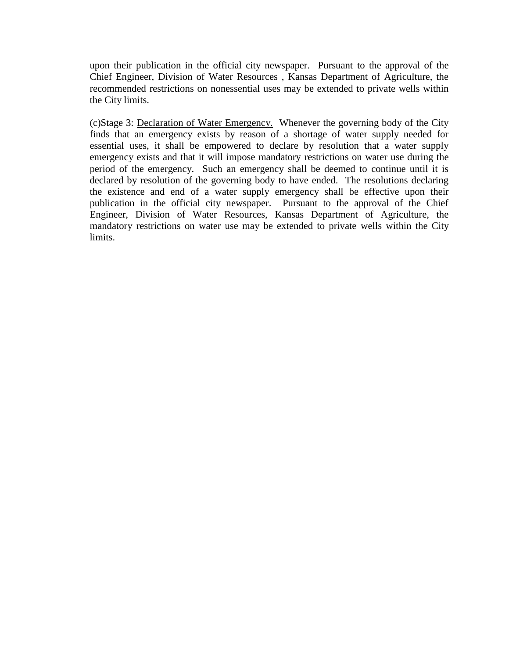upon their publication in the official city newspaper. Pursuant to the approval of the Chief Engineer, Division of Water Resources , Kansas Department of Agriculture, the recommended restrictions on nonessential uses may be extended to private wells within the City limits.

(c)Stage 3: Declaration of Water Emergency. Whenever the governing body of the City finds that an emergency exists by reason of a shortage of water supply needed for essential uses, it shall be empowered to declare by resolution that a water supply emergency exists and that it will impose mandatory restrictions on water use during the period of the emergency. Such an emergency shall be deemed to continue until it is declared by resolution of the governing body to have ended. The resolutions declaring the existence and end of a water supply emergency shall be effective upon their publication in the official city newspaper. Pursuant to the approval of the Chief Engineer, Division of Water Resources, Kansas Department of Agriculture, the mandatory restrictions on water use may be extended to private wells within the City limits.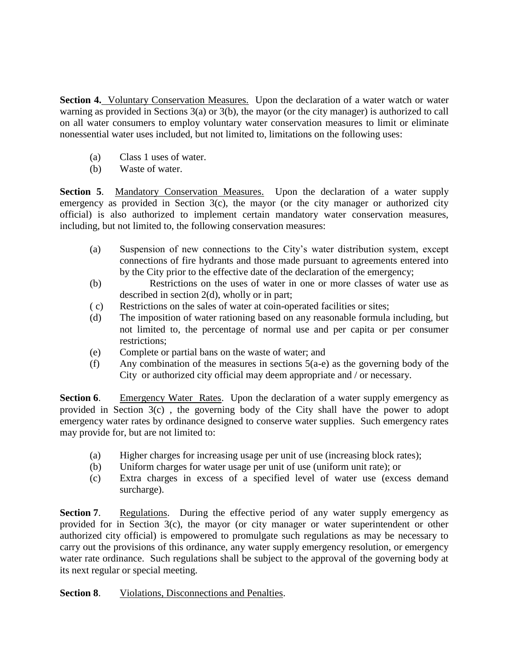**Section 4.** Voluntary Conservation Measures. Upon the declaration of a water watch or water warning as provided in Sections 3(a) or 3(b), the mayor (or the city manager) is authorized to call on all water consumers to employ voluntary water conservation measures to limit or eliminate nonessential water uses included, but not limited to, limitations on the following uses:

- (a) Class 1 uses of water.
- (b) Waste of water.

**Section 5.** Mandatory Conservation Measures. Upon the declaration of a water supply emergency as provided in Section 3(c), the mayor (or the city manager or authorized city official) is also authorized to implement certain mandatory water conservation measures, including, but not limited to, the following conservation measures:

- (a) Suspension of new connections to the City's water distribution system, except connections of fire hydrants and those made pursuant to agreements entered into by the City prior to the effective date of the declaration of the emergency;
- (b) Restrictions on the uses of water in one or more classes of water use as described in section 2(d), wholly or in part;
- ( c) Restrictions on the sales of water at coin-operated facilities or sites;
- (d) The imposition of water rationing based on any reasonable formula including, but not limited to, the percentage of normal use and per capita or per consumer restrictions;
- (e) Complete or partial bans on the waste of water; and
- (f) Any combination of the measures in sections  $5(a-e)$  as the governing body of the City or authorized city official may deem appropriate and / or necessary.

**Section 6.** Emergency Water Rates. Upon the declaration of a water supply emergency as provided in Section 3(c) , the governing body of the City shall have the power to adopt emergency water rates by ordinance designed to conserve water supplies. Such emergency rates may provide for, but are not limited to:

- (a) Higher charges for increasing usage per unit of use (increasing block rates);
- (b) Uniform charges for water usage per unit of use (uniform unit rate); or
- (c) Extra charges in excess of a specified level of water use (excess demand surcharge).

**Section 7.** Regulations. During the effective period of any water supply emergency as provided for in Section 3(c), the mayor (or city manager or water superintendent or other authorized city official) is empowered to promulgate such regulations as may be necessary to carry out the provisions of this ordinance, any water supply emergency resolution, or emergency water rate ordinance. Such regulations shall be subject to the approval of the governing body at its next regular or special meeting.

# **Section 8**. Violations, Disconnections and Penalties.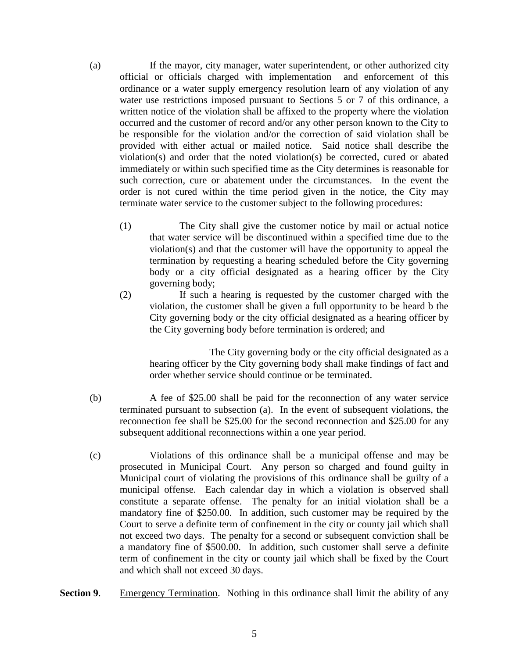(a) If the mayor, city manager, water superintendent, or other authorized city official or officials charged with implementation and enforcement of this ordinance or a water supply emergency resolution learn of any violation of any water use restrictions imposed pursuant to Sections 5 or 7 of this ordinance, a written notice of the violation shall be affixed to the property where the violation occurred and the customer of record and/or any other person known to the City to be responsible for the violation and/or the correction of said violation shall be provided with either actual or mailed notice. Said notice shall describe the violation(s) and order that the noted violation(s) be corrected, cured or abated immediately or within such specified time as the City determines is reasonable for such correction, cure or abatement under the circumstances. In the event the order is not cured within the time period given in the notice, the City may terminate water service to the customer subject to the following procedures:

- (1) The City shall give the customer notice by mail or actual notice that water service will be discontinued within a specified time due to the violation(s) and that the customer will have the opportunity to appeal the termination by requesting a hearing scheduled before the City governing body or a city official designated as a hearing officer by the City governing body;
- (2) If such a hearing is requested by the customer charged with the violation, the customer shall be given a full opportunity to be heard b the City governing body or the city official designated as a hearing officer by the City governing body before termination is ordered; and

The City governing body or the city official designated as a hearing officer by the City governing body shall make findings of fact and order whether service should continue or be terminated.

- (b) A fee of \$25.00 shall be paid for the reconnection of any water service terminated pursuant to subsection (a). In the event of subsequent violations, the reconnection fee shall be \$25.00 for the second reconnection and \$25.00 for any subsequent additional reconnections within a one year period.
- (c) Violations of this ordinance shall be a municipal offense and may be prosecuted in Municipal Court. Any person so charged and found guilty in Municipal court of violating the provisions of this ordinance shall be guilty of a municipal offense. Each calendar day in which a violation is observed shall constitute a separate offense. The penalty for an initial violation shall be a mandatory fine of \$250.00. In addition, such customer may be required by the Court to serve a definite term of confinement in the city or county jail which shall not exceed two days. The penalty for a second or subsequent conviction shall be a mandatory fine of \$500.00. In addition, such customer shall serve a definite term of confinement in the city or county jail which shall be fixed by the Court and which shall not exceed 30 days.
- **Section 9.** Emergency Termination. Nothing in this ordinance shall limit the ability of any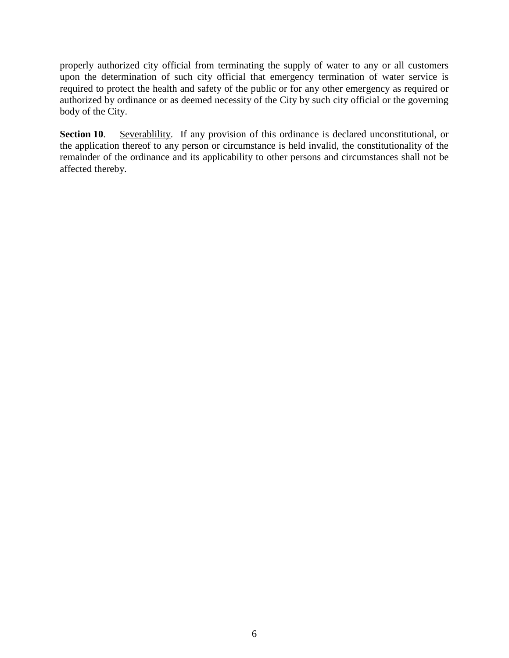properly authorized city official from terminating the supply of water to any or all customers upon the determination of such city official that emergency termination of water service is required to protect the health and safety of the public or for any other emergency as required or authorized by ordinance or as deemed necessity of the City by such city official or the governing body of the City.

**Section 10.** Severablility. If any provision of this ordinance is declared unconstitutional, or the application thereof to any person or circumstance is held invalid, the constitutionality of the remainder of the ordinance and its applicability to other persons and circumstances shall not be affected thereby.